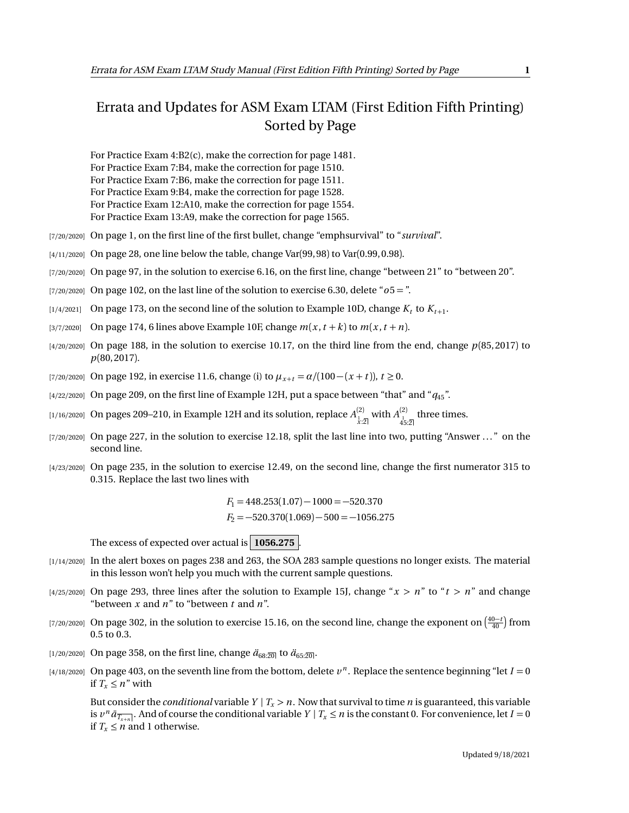## Errata and Updates for ASM Exam LTAM (First Edition Fifth Printing) Sorted by Page

For Practice Exam 4:B2(c), make the correction for page 1481. For Practice Exam 7:B4, make the correction for page 1510. For Practice Exam 7:B6, make the correction for page 1511. For Practice Exam 9:B4, make the correction for page 1528. For Practice Exam 12:A10, make the correction for page 1554. For Practice Exam 13:A9, make the correction for page 1565.

- 
- [7/20/2020] On page 1, on the first line of the first bullet, change "emphsurvival" to "*survival*".
- [4/11/2020] On page 28, one line below the table, change Var(99, 98) to Var(0.99, 0.98).
- [7/20/2020] On page 97, in the solution to exercise 6.16, on the first line, change "between 21" to "between 20".
- $(7/20/2020)$  On page 102, on the last line of the solution to exercise 6.30, delete " $\sigma$ 5 = ".
- $\left[1/4/2021\right]$  On page 173, on the second line of the solution to Example 10D, change  $K_t$  to  $K_{t+1}$ .
- [3/7/2020] On page 174, 6 lines above Example 10F, change  $m(x, t + k)$  to  $m(x, t + n)$ .
- [4/20/2020] On page 188, in the solution to exercise 10.17, on the third line from the end, change *p*(85, 2017) to *p*(80, 2017).
- [7/20/2020] On page 192, in exercise 11.6, change (i) to  $\mu_{x+t} = \alpha/(100 (x + t))$ ,  $t \ge 0$ .
- [4/22/2020] On page 209, on the first line of Example 12H, put a space between "that" and "*q*45".
- $_{{[1/16/2020]}}$  On pages 209–210, in Example 12H and its solution, replace  $A^{(2)}_{\frac{1}{\chi},2]}$  with  $A^{(2)}_{\frac{4}{45:2]}}$  three times.
- [7/20/2020] On page 227, in the solution to exercise 12.18, split the last line into two, putting "Answer ..." on the second line.
- [4/23/2020] On page 235, in the solution to exercise 12.49, on the second line, change the first numerator 315 to 0.315. Replace the last two lines with

 $F_1 = 448.253(1.07) - 1000 = -520.370$  $F_2 = -520.370(1.069) - 500 = -1056.275$ 

The excess of expected over actual is **1056.275** .

- [1/14/2020] In the alert boxes on pages 238 and 263, the SOA 283 sample questions no longer exists. The material in this lesson won't help you much with the current sample questions.
- [4/25/2020] On page 293, three lines after the solution to Example 15J, change " $x > n$ " to " $t > n$ " and change "between *x* and *n*" to "between *t* and *n*".
- [7/20/2020] On page 302, in the solution to exercise 15.16, on the second line, change the exponent on  $\left(\frac{40-t}{40}\right)$  from 0.5 to 0.3.
- [1/20/2020] On page 358, on the first line, change  $\ddot{a}_{68:20}$  to  $\ddot{a}_{65:20}$ .
- $[4/18/2020]$  On page 403, on the seventh line from the bottom, delete  $v^n$ . Replace the sentence beginning "let  $I = 0$ if  $T_x \leq n''$  with

But consider the *conditional* variable  $Y | T_x > n$ . Now that survival to time *n* is guaranteed, this variable is  $v^n \bar{a}_{\overline{T_{x+n}}}$ . And of course the conditional variable  $Y | T_x \le n$  is the constant 0. For convenience, let  $I = 0$ if  $T_x \leq n$  and 1 otherwise.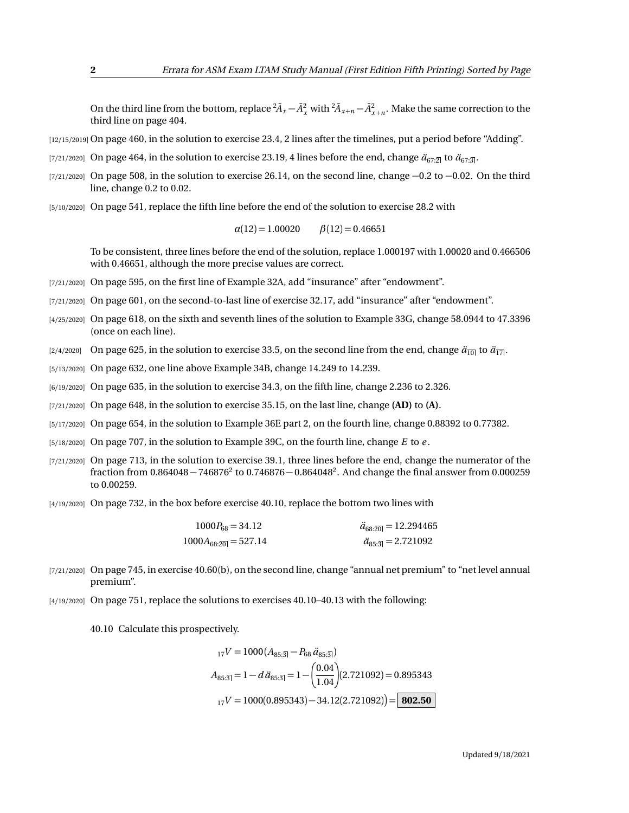On the third line from the bottom, replace  ${}^2\bar{A}_x - \bar{A}_x^2$  with  ${}^2\bar{A}_{x+n} - \bar{A}_{x+n}^2$ . Make the same correction to the third line on page 404.

- [12/15/2019] On page 460, in the solution to exercise 23.4, 2 lines after the timelines, put a period before "Adding".
- [7/21/2020] On page 464, in the solution to exercise 23.19, 4 lines before the end, change  $\ddot{a}_{67:2}$  to  $\ddot{a}_{67:3}$ .
- $[7/21/2020]$  On page 508, in the solution to exercise 26.14, on the second line, change  $-0.2$  to  $-0.02$ . On the third line, change 0.2 to 0.02.
- [5/10/2020] On page 541, replace the fifth line before the end of the solution to exercise 28.2 with

 $\alpha(12) = 1.00020$   $\beta(12) = 0.46651$ 

To be consistent, three lines before the end of the solution, replace 1.000197 with 1.00020 and 0.466506 with 0.46651, although the more precise values are correct.

- [7/21/2020] On page 595, on the first line of Example 32A, add "insurance" after "endowment".
- [7/21/2020] On page 601, on the second-to-last line of exercise 32.17, add "insurance" after "endowment".
- [4/25/2020] On page 618, on the sixth and seventh lines of the solution to Example 33G, change 58.0944 to 47.3396 (once on each line).
- [2/4/2020] On page 625, in the solution to exercise 33.5, on the second line from the end, change  $\ddot{a}_{\overline{10|}}$  to  $\ddot{a}_{\overline{17|}}$ .
- [5/13/2020] On page 632, one line above Example 34B, change 14.249 to 14.239.
- [6/19/2020] On page 635, in the solution to exercise 34.3, on the fifth line, change 2.236 to 2.326.
- [7/21/2020] On page 648, in the solution to exercise 35.15, on the last line, change **(AD)** to **(A)**.
- [5/17/2020] On page 654, in the solution to Example 36E part 2, on the fourth line, change 0.88392 to 0.77382.
- [5/18/2020] On page 707, in the solution to Example 39C, on the fourth line, change *E* to *e* .
- [7/21/2020] On page 713, in the solution to exercise 39.1, three lines before the end, change the numerator of the fraction from  $0.864048 - 746876^2$  to  $0.746876 - 0.864048^2$ . And change the final answer from  $0.000259$ to 0.00259.
- [4/19/2020] On page 732, in the box before exercise 40.10, replace the bottom two lines with

| $1000P_{68} = 34.12$     | $\ddot{a}_{68:20} = 12.294465$              |
|--------------------------|---------------------------------------------|
| $1000A_{68:20} = 527.14$ | $\ddot{a}_{85\cdot\overline{3}} = 2.721092$ |

- [7/21/2020] On page 745, in exercise 40.60(b), on the second line, change "annual net premium" to "net level annual premium".
- [4/19/2020] On page 751, replace the solutions to exercises 40.10–40.13 with the following:

40.10 Calculate this prospectively.

$$
{}_{17}V = 1000 (A_{85:\overline{3}}) - P_{68} \ddot{a}_{85:\overline{3}})
$$
  
\n
$$
A_{85:\overline{3}} = 1 - d \ddot{a}_{85:\overline{3}} = 1 - \left(\frac{0.04}{1.04}\right) (2.721092) = 0.895343
$$
  
\n
$$
{}_{17}V = 1000(0.895343) - 34.12(2.721092) = 802.50
$$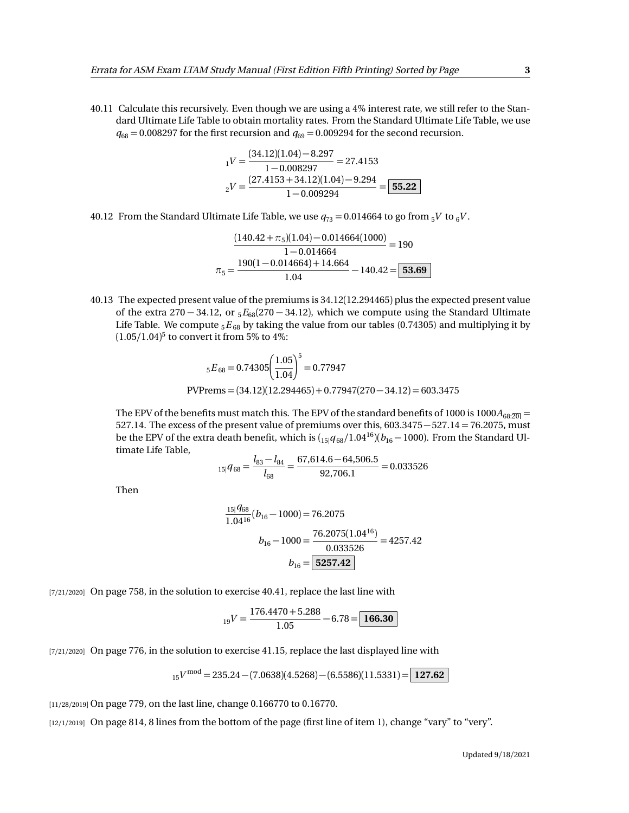40.11 Calculate this recursively. Even though we are using a 4% interest rate, we still refer to the Standard Ultimate Life Table to obtain mortality rates. From the Standard Ultimate Life Table, we use  $q_{68} = 0.008297$  for the first recursion and  $q_{69} = 0.009294$  for the second recursion.

$$
_1V = \frac{(34.12)(1.04) - 8.297}{1 - 0.008297} = 27.4153
$$

$$
_2V = \frac{(27.4153 + 34.12)(1.04) - 9.294}{1 - 0.009294} = \boxed{55.22}
$$

40.12 From the Standard Ultimate Life Table, we use  $q_{73} = 0.014664$  to go from  $5V$  to  $6V$ .

$$
\frac{(140.42 + \pi_5)(1.04) - 0.014664(1000)}{1 - 0.014664} = 190
$$

$$
\pi_5 = \frac{190(1 - 0.014664) + 14.664}{1.04} - 140.42 = 53.69
$$

40.13 The expected present value of the premiums is 34.12(12.294465) plus the expected present value of the extra 270 − 34.12, or <sup>5</sup>*E*68(270 − 34.12), which we compute using the Standard Ultimate Life Table. We compute <sub>5</sub> $E_{68}$  by taking the value from our tables (0.74305) and multiplying it by (1.05*/*1.04) 5 to convert it from 5% to 4%:

$$
{}_{5}E_{68} = 0.74305 \left(\frac{1.05}{1.04}\right)^{5} = 0.77947
$$
  
PVPrems = (34.12)(12.294465) + 0.77947(270 - 34.12) = 603.3475

The EPV of the benefits must match this. The EPV of the standard benefits of 1000 is 1000 $A_{68:20}$  = 527.14. The excess of the present value of premiums over this, 603.3475−527.14 = 76.2075, must be the EPV of the extra death benefit, which is  $\left(15|q_{68}/1.04^{16}\right)\left(b_{16}-1000\right)$ . From the Standard Ultimate Life Table,

$$
{}_{15|}q_{68}=\frac{l_{83}-l_{84}}{l_{68}}=\frac{67,614.6-64,506.5}{92,706.1}=0.033526
$$

Then

$$
\frac{15|q_{68}}{1.04^{16}}(b_{16} - 1000) = 76.2075
$$

$$
b_{16} - 1000 = \frac{76.2075(1.04^{16})}{0.033526} = 4257.42
$$

$$
b_{16} = \boxed{5257.42}
$$

[7/21/2020] On page 758, in the solution to exercise 40.41, replace the last line with

$$
_{19}V = \frac{176.4470 + 5.288}{1.05} - 6.78 = \boxed{166.30}
$$

[7/21/2020] On page 776, in the solution to exercise 41.15, replace the last displayed line with

$$
_{15}V^{\text{mod}} = 235.24 - (7.0638)(4.5268) - (6.5586)(11.5331) = \boxed{127.62}
$$

[11/28/2019] On page 779, on the last line, change 0.166770 to 0.16770.

[12/1/2019] On page 814, 8 lines from the bottom of the page (first line of item 1), change "vary" to "very".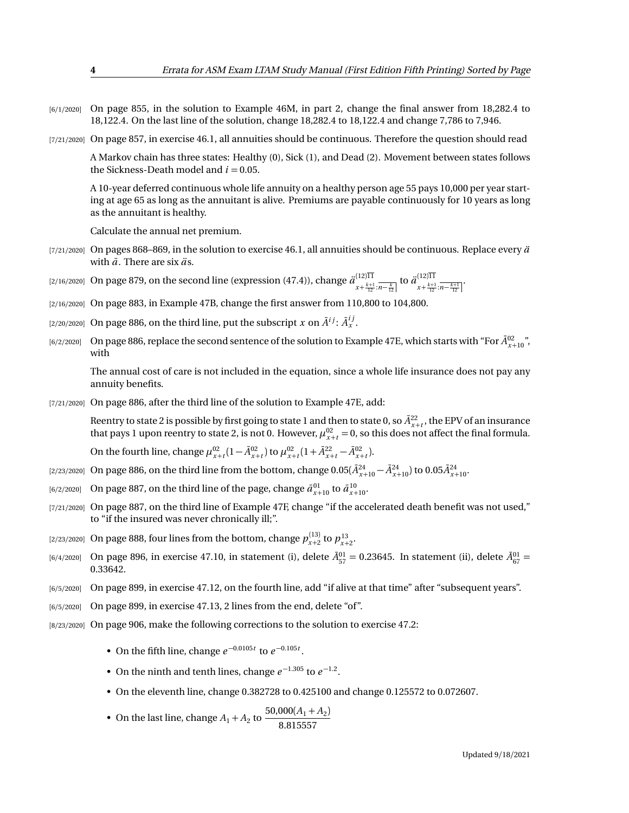- [6/1/2020] On page 855, in the solution to Example 46M, in part 2, change the final answer from 18,282.4 to 18,122.4. On the last line of the solution, change 18,282.4 to 18,122.4 and change 7,786 to 7,946.
- [7/21/2020] On page 857, in exercise 46.1, all annuities should be continuous. Therefore the question should read

A Markov chain has three states: Healthy (0), Sick (1), and Dead (2). Movement between states follows the Sickness-Death model and  $i = 0.05$ .

A 10-year deferred continuous whole life annuity on a healthy person age 55 pays 10,000 per year starting at age 65 as long as the annuitant is alive. Premiums are payable continuously for 10 years as long as the annuitant is healthy.

Calculate the annual net premium.

- [ $7/21/2020$ ] On pages 868–869, in the solution to exercise 46.1, all annuities should be continuous. Replace every  $\ddot{a}$ with  $\bar{a}$ . There are six  $\ddot{a}$ s.
- [2/16/2020] On page 879, on the second line (expression (47.4)), change *a*¨ (12)11  $\frac{(12)11}{x + \frac{k+1}{12} \cdot n - \frac{k}{12}}$  to  $\frac{\ddot{a}^{(12)11}}{x + \frac{k+1}{12}}$  $x + \frac{k+1}{12}$ : $\overline{n - \frac{k+1}{12}}$
- [2/16/2020] On page 883, in Example 47B, change the first answer from 110,800 to 104,800.
- [2/20/2020] On page 886, on the third line, put the subscript  $x$  on  $\tilde{A}^{ij}$ :  $\tilde{A}^{ij}_x$  .
- [6/2/2020] On page 886, replace the second sentence of the solution to Example 47E, which starts with "For  $\bar{A}^{02}_{x+10}$ ", with

The annual cost of care is not included in the equation, since a whole life insurance does not pay any annuity benefits.

[7/21/2020] On page 886, after the third line of the solution to Example 47E, add:

Reentry to state 2 is possible by first going to state 1 and then to state 0, so  $\bar{A}^{22}_{x+t}$ , the EPV of an insurance that pays 1 upon reentry to state 2, is not 0. However,  $\mu_{x+t}^{02} = 0$ , so this does not affect the final formula.

On the fourth line, change  $\mu_{x+t}^{02} (1 - \bar{A}_{x+t}^{02})$  to  $\mu_{x+t}^{02} (1 + \bar{A}_{x+t}^{22} - \bar{A}_{x+t}^{02})$ .

- $(2/23/2020]$  On page 886, on the third line from the bottom, change  $0.05(\bar{A}^{24}_{x+10}-\bar{A}^{24}_{x+10})$  to  $0.05\bar{A}^{24}_{x+10}$ .
- $a_{(6/2/2020]}$  On page 887, on the third line of the page, change  $\bar{a}_{x+10}^{01}$  to  $\bar{a}_{x+10}^{10}$ .
- [7/21/2020] On page 887, on the third line of Example 47F, change "if the accelerated death benefit was not used," to "if the insured was never chronically ill;".
- [2/23/2020] On page 888, four lines from the bottom, change  $p_{x+2}^{(13)}$  to  $p_{x+2}^{13}$ .
- $[6/4/2020]$  On page 896, in exercise 47.10, in statement (i), delete  $\bar{A}^{01}_{57} = 0.23645$ . In statement (ii), delete  $\bar{A}^{01}_{67} = 0.02364$ 0.33642.
- [6/5/2020] On page 899, in exercise 47.12, on the fourth line, add "if alive at that time" after "subsequent years".
- [6/5/2020] On page 899, in exercise 47.13, 2 lines from the end, delete "of".
- [8/23/2020] On page 906, make the following corrections to the solution to exercise 47.2:
	- On the fifth line, change  $e^{-0.0105t}$  to  $e^{-0.105t}$ .
	- On the ninth and tenth lines, change  $e^{-1.305}$  to  $e^{-1.2}$ .
	- On the eleventh line, change 0.382728 to 0.425100 and change 0.125572 to 0.072607.
	- On the last line, change  $A_1 + A_2$  to  $\frac{50,000(A_1 + A_2)}{8,0.15557}$ 8.815557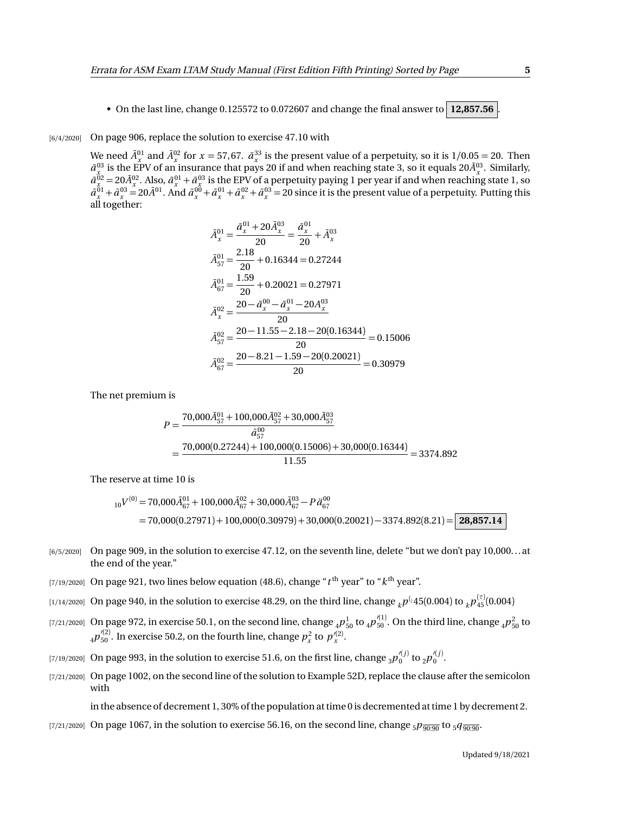• On the last line, change 0.125572 to 0.072607 and change the final answer to  $\vert$  12,857.56

## [6/4/2020] On page 906, replace the solution to exercise 47.10 with

We need  $\bar{A}^{01}_x$  and  $\bar{A}^{02}_x$  for  $x = 57,67$ .  $\bar{a}^{33}_x$  is the present value of a perpetuity, so it is  $1/0.05 = 20$ . Then  $\bar{a}^{03}_{x_0}$  is the EPV of an insurance that pays 20 if and when reaching state 3, so it equals 20 $\bar{A}^{03}_{x}$ . Similarly,  $\bar{a}^{02}_{x} = 20 \bar{A}^{02}_{x}$ . Also,  $\bar{a}^{01}_{x} + \bar{a}^{03}_{x}$  is the EPV of a perpetuity paying 1 per year if and when reaching state 1, so  $\bar{a}^{01}_x + \bar{a}^{03}_x = 20 \bar{A}^{01}$ . And  $\bar{a}^{00}_x + \bar{a}^{01}_x + \bar{a}^{02}_x + \bar{a}^{03}_x = 20$  since it is the present value of a perpetuity. Putting this all together:

$$
\bar{A}_{x}^{01} = \frac{\bar{a}_{x}^{01} + 20\bar{A}_{x}^{03}}{20} = \frac{\bar{a}_{x}^{01}}{20} + \bar{A}_{x}^{03}
$$
\n
$$
\bar{A}_{57}^{01} = \frac{2.18}{20} + 0.16344 = 0.27244
$$
\n
$$
\bar{A}_{67}^{01} = \frac{1.59}{20} + 0.20021 = 0.27971
$$
\n
$$
\bar{A}_{x}^{02} = \frac{20 - \bar{a}_{x}^{00} - \bar{a}_{x}^{01} - 20A_{x}^{03}}{20}
$$
\n
$$
\bar{A}_{57}^{02} = \frac{20 - 11.55 - 2.18 - 20(0.16344)}{20} = 0.15006
$$
\n
$$
\bar{A}_{67}^{02} = \frac{20 - 8.21 - 1.59 - 20(0.20021)}{20} = 0.30979
$$

The net premium is

$$
P = \frac{70,000\overline{A}_{57}^{01} + 100,000\overline{A}_{57}^{02} + 30,000\overline{A}_{57}^{03}}{\overline{a}_{57}^{00}}
$$
  
= 
$$
\frac{70,000(0.27244) + 100,000(0.15006) + 30,000(0.16344)}{11.55} = 3374.892
$$

The reserve at time 10 is

$$
{}_{10}V^{(0)} = 70,000\bar{A}_{67}^{01} + 100,000\bar{A}_{67}^{02} + 30,000\bar{A}_{67}^{03} - P\ddot{a}_{67}^{00}
$$
  
= 70,000(0.27971) + 100,000(0.30979) + 30,000(0.20021) - 3374.892(8.21) = 28,857.14

- $[6/5/2020]$  On page 909, in the solution to exercise 47.12, on the seventh line, delete "but we don't pay 10,000...at the end of the year."
- $_{\rm [7/19/2020]}$  On page 921, two lines below equation (48.6), change " $t^{\rm th}$  year" to " $k^{\rm th}$  year".
- $_{[1/14/2020]}$  On page 940, in the solution to exercise 48.29, on the third line, change  $_{k}p^{(_{1}45(0.004)\text{ to }}_{k}p^{(^{7)}_{45}(0.004) }$
- $_{[7/21/2020]}$  On page 972, in exercise 50.1, on the second line, change  $_4P_{50}^1$  to  $_4p_{50}^{\prime(1)}$ . On the third line, change  $_4p_{50}^2$  to  $_4p_{50}^{\prime(2)}$ . In exercise 50.2, on the fourth line, change  $p_x^2$  to  $p_x^{\prime(2)}$ .
- [7/19/2020] On page 993, in the solution to exercise 51.6, on the first line, change  $_3p_0^{\prime(j)}$  to  $_2p_0^{\prime(j)}$ .
- [7/21/2020] On page 1002, on the second line of the solution to Example 52D, replace the clause after the semicolon with

in the absence of decrement 1, 30% of the population at time 0 is decremented at time 1 by decrement 2.

[7/21/2020] On page 1067, in the solution to exercise 56.16, on the second line, change  $_5p_{\overline{q_0q_0}}$  to  $_5q_{\overline{q_0q_0}}$ .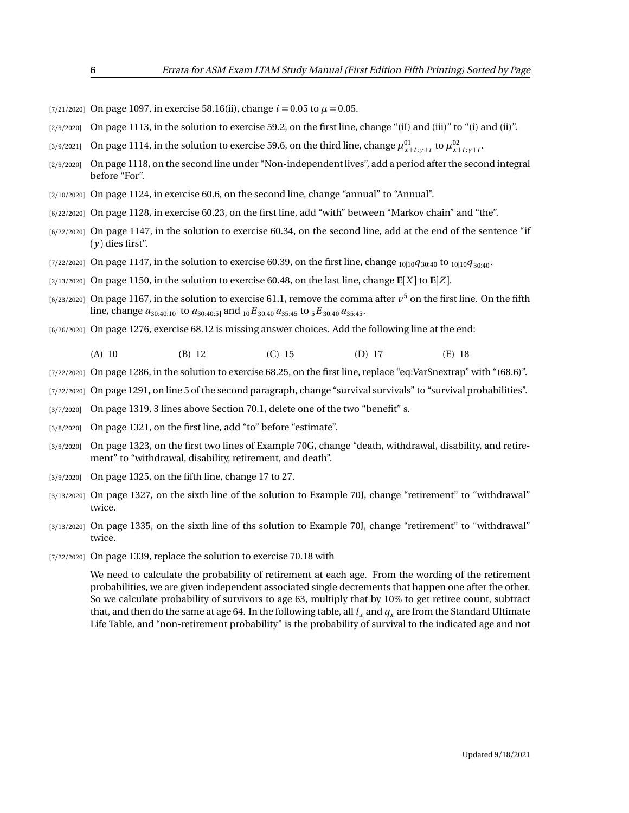- [7/21/2020] On page 1097, in exercise 58.16(ii), change  $i = 0.05$  to  $\mu = 0.05$ .
- $[2/9/2020]$  On page 1113, in the solution to exercise 59.2, on the first line, change "(iI) and (iii)" to "(i) and (iii)".
- [3/9/2021] On page 1114, in the solution to exercise 59.6, on the third line, change  $\mu_{x+t:y+t}^{01}$  to  $\mu_{x+t:y+t}^{02}$ .
- [2/9/2020] On page 1118, on the second line under "Non-independent lives", add a period after the second integral before "For".
- [2/10/2020] On page 1124, in exercise 60.6, on the second line, change "annual" to "Annual".
- [6/22/2020] On page 1128, in exercise 60.23, on the first line, add "with" between "Markov chain" and "the".
- [6/22/2020] On page 1147, in the solution to exercise 60.34, on the second line, add at the end of the sentence "if  $(y)$  dies first".
- [7/22/2020] On page 1147, in the solution to exercise 60.39, on the first line, change <sub>10|10</sub> $q_{30:40}$  to <sub>10|10</sub> $q_{30:40}$ .
- $\lceil 2/13/2020 \rceil$  On page 1150, in the solution to exercise 60.48, on the last line, change  $\mathbf{E}[X]$  to  $\mathbf{E}[Z]$ .
- $_{[6/23/2020]}$  On page 1167, in the solution to exercise 61.1, remove the comma after  $v^5$  on the first line. On the fifth line, change  $a_{30:40:\overline{10|}}$  to  $a_{30:40:\overline{5|}}$  and  $_{10}E_{30:40}a_{35:45}$  to  $_{5}E_{30:40}a_{35:45}$ .
- [6/26/2020] On page 1276, exercise 68.12 is missing answer choices. Add the following line at the end:
	- (A) 10 (B) 12 (C) 15 (D) 17 (E) 18
- [7/22/2020] On page 1286, in the solution to exercise 68.25, on the first line, replace "eq:VarSnextrap" with "(68.6)".
- [7/22/2020] On page 1291, on line 5 of the second paragraph, change "survival survivals" to "survival probabilities".
- [3/7/2020] On page 1319, 3 lines above Section 70.1, delete one of the two "benefit" s.
- [3/8/2020] On page 1321, on the first line, add "to" before "estimate".
- [3/9/2020] On page 1323, on the first two lines of Example 70G, change "death, withdrawal, disability, and retirement" to "withdrawal, disability, retirement, and death".
- [3/9/2020] On page 1325, on the fifth line, change 17 to 27.
- [3/13/2020] On page 1327, on the sixth line of the solution to Example 70J, change "retirement" to "withdrawal" twice.
- [3/13/2020] On page 1335, on the sixth line of ths solution to Example 70J, change "retirement" to "withdrawal" twice.
- [7/22/2020] On page 1339, replace the solution to exercise 70.18 with

We need to calculate the probability of retirement at each age. From the wording of the retirement probabilities, we are given independent associated single decrements that happen one after the other. So we calculate probability of survivors to age 63, multiply that by 10% to get retiree count, subtract that, and then do the same at age 64. In the following table, all  $l_x$  and  $q_x$  are from the Standard Ultimate Life Table, and "non-retirement probability" is the probability of survival to the indicated age and not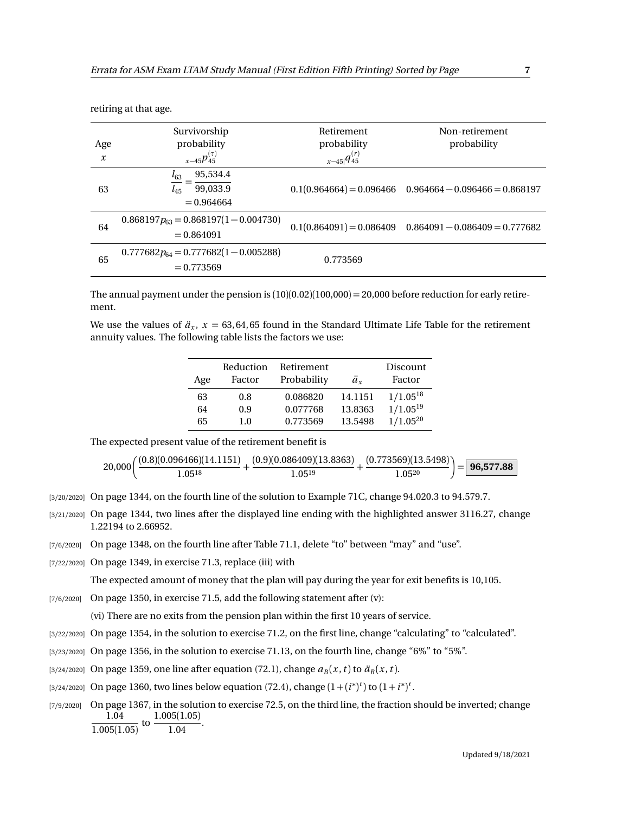| Age<br>$\boldsymbol{x}$ | Survivorship<br>probability<br>$x_{-45}p_{45}^{(\tau)}$      | Retirement<br>probability<br>$x-45 q_{45}^{(r)}$ | Non-retirement<br>probability                               |
|-------------------------|--------------------------------------------------------------|--------------------------------------------------|-------------------------------------------------------------|
| 63                      | 95,534.4<br>$l_{63}$<br>99,033.9<br>$l_{45}$<br>$= 0.964664$ |                                                  | $0.1(0.964664) = 0.096466$ $0.964664 - 0.096466 = 0.868197$ |
| 64                      | $0.868197p_{63} = 0.868197(1 - 0.004730)$<br>$= 0.864091$    |                                                  | $0.1(0.864091) = 0.086409$ $0.864091 - 0.086409 = 0.777682$ |
| 65                      | $0.777682p_{64} = 0.777682(1 - 0.005288)$<br>$= 0.773569$    | 0.773569                                         |                                                             |

retiring at that age.

The annual payment under the pension is  $(10)(0.02)(100,000) = 20,000$  before reduction for early retirement.

We use the values of  $\ddot{a}_x$ ,  $x = 63,64,65$  found in the Standard Ultimate Life Table for the retirement annuity values. The following table lists the factors we use:

| Age | Reduction<br>Factor | Retirement<br>Probability | ä.      | Discount<br>Factor |
|-----|---------------------|---------------------------|---------|--------------------|
| 63  | 0.8                 | 0.086820                  | 14.1151 | $1/1.05^{18}$      |
| 64  | 0.9                 | 0.077768                  | 13.8363 | $1/1.05^{19}$      |
| 65  | 1.0                 | 0.773569                  | 13.5498 | $1/1.05^{20}$      |

The expected present value of the retirement benefit is

$$
20,000\bigg(\frac{(0.8)(0.096466)(14.1151)}{1.05^{18}}+\frac{(0.9)(0.086409)(13.8363)}{1.05^{19}}+\frac{(0.773569)(13.5498)}{1.05^{20}}\bigg)\!=\!\boxed{\textbf{96,577.88}}
$$

[3/20/2020] On page 1344, on the fourth line of the solution to Example 71C, change 94.020.3 to 94.579.7.

- [3/21/2020] On page 1344, two lines after the displayed line ending with the highlighted answer 3116.27, change 1.22194 to 2.66952.
- [7/6/2020] On page 1348, on the fourth line after Table 71.1, delete "to" between "may" and "use".
- [7/22/2020] On page 1349, in exercise 71.3, replace (iii) with

The expected amount of money that the plan will pay during the year for exit benefits is 10,105.

 $[7/6/2020]$  On page 1350, in exercise 71.5, add the following statement after (v):

(vi) There are no exits from the pension plan within the first 10 years of service.

- [3/22/2020] On page 1354, in the solution to exercise 71.2, on the first line, change "calculating" to "calculated".
- [3/23/2020] On page 1356, in the solution to exercise 71.13, on the fourth line, change "6%" to "5%".
- [3/24/2020] On page 1359, one line after equation (72.1), change  $a_B(x, t)$  to  $\ddot{a}_B(x, t)$ .
- [3/24/2020] On page 1360, two lines below equation (72.4), change  $(1 + (i^*)^t)$  to  $(1 + i^*)^t$ .
- [7/9/2020] On page 1367, in the solution to exercise 72.5, on the third line, the fraction should be inverted; change 1.04  $\frac{1.04}{1.005(1.05)}$  to  $\frac{1.005(1.05)}{1.04}$  $\frac{1.04}{1.04}$ .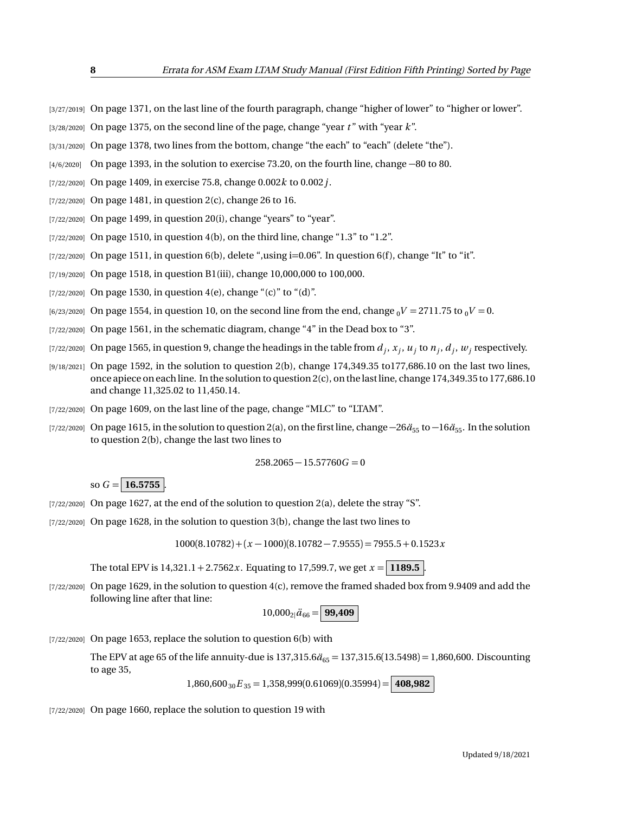- [3/27/2019] On page 1371, on the last line of the fourth paragraph, change "higher of lower" to "higher or lower".
- [3/28/2020] On page 1375, on the second line of the page, change "year *t* " with "year *k*".
- [3/31/2020] On page 1378, two lines from the bottom, change "the each" to "each" (delete "the").
- [4/6/2020] On page 1393, in the solution to exercise 73.20, on the fourth line, change −80 to 80.
- [7/22/2020] On page 1409, in exercise 75.8, change 0.002*k* to 0.002*j*.
- [7/22/2020] On page 1481, in question 2(c), change 26 to 16.
- [7/22/2020] On page 1499, in question 20(i), change "years" to "year".
- [7/22/2020] On page 1510, in question 4(b), on the third line, change "1.3" to "1.2".
- $[7/22/2020]$  On page 1511, in question 6(b), delete ",using i=0.06". In question 6(f), change "It" to "it".
- [7/19/2020] On page 1518, in question B1(iii), change 10,000,000 to 100,000.
- $[7/22/2020]$  On page 1530, in question 4(e), change "(c)" to "(d)".
- $[6/23/2020]$  On page 1554, in question 10, on the second line from the end, change  $_0V = 2711.75$  to  $_0V = 0$ .
- $[7/22/2020]$  On page 1561, in the schematic diagram, change "4" in the Dead box to "3".
- $(7/22/2020]$  On page 1565, in question 9, change the headings in the table from  $d_j$ ,  $x_j$ ,  $u_j$  to  $n_j$ ,  $d_j$ ,  $w_j$  respectively.
- [9/18/2021] On page 1592, in the solution to question 2(b), change 174,349.35 to177,686.10 on the last two lines, once apiece on each line. In the solution to question 2(c), on the last line, change 174,349.35 to 177,686.10 and change 11,325.02 to 11,450.14.
- [7/22/2020] On page 1609, on the last line of the page, change "MLC" to "LTAM".
- [7/22/2020] On page 1615, in the solution to question 2(a), on the first line, change  $-26\ddot{a}_{55}$  to  $-16\ddot{a}_{55}$ . In the solution to question 2(b), change the last two lines to

$$
258.2065 - 15.57760G = 0
$$

so  $G = 16.5755$ 

- [7/22/2020] On page 1627, at the end of the solution to question 2(a), delete the stray "S".
- [7/22/2020] On page 1628, in the solution to question 3(b), change the last two lines to

 $1000(8.10782) + (x - 1000)(8.10782 - 7.9555) = 7955.5 + 0.1523x$ 

The total EPV is  $14,321.1 + 2.7562x$ . Equating to 17,599.7, we get  $x = 1189.5$ .

[7/22/2020] On page 1629, in the solution to question 4(c), remove the framed shaded box from 9.9409 and add the following line after that line:

$$
10,000_{2}|\ddot{a}_{66}=\Big|99,409\Big|
$$

[7/22/2020] On page 1653, replace the solution to question 6(b) with

The EPV at age 65 of the life annuity-due is  $137,315.6\ddot{a}_{65} = 137,315.6(13.5498) = 1,860,600$ . Discounting to age 35,

 $1,860,600_{30}E_{35} = 1,358,999(0.61069)(0.35994) = 408,982$ 

[7/22/2020] On page 1660, replace the solution to question 19 with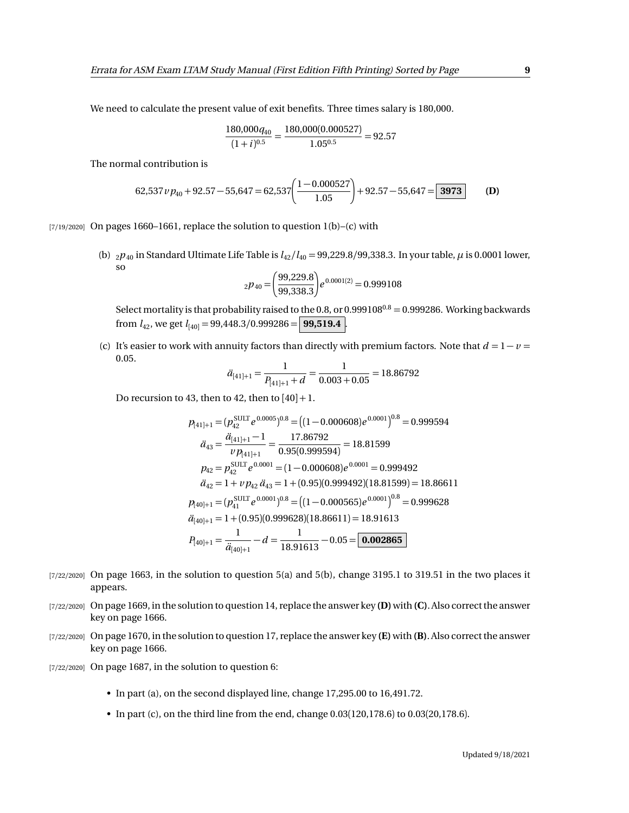We need to calculate the present value of exit benefits. Three times salary is 180,000.

$$
\frac{180,000q_{40}}{(1+i)^{0.5}} = \frac{180,000(0.000527)}{1.05^{0.5}} = 92.57
$$

The normal contribution is

$$
62,537 \nu p_{40} + 92.57 - 55,647 = 62,537 \left( \frac{1 - 0.000527}{1.05} \right) + 92.57 - 55,647 = \boxed{3973}
$$
 (D)

[7/19/2020] On pages 1660–1661, replace the solution to question  $1(b)$ –(c) with

(b)  $_{2}p_{40}$  in Standard Ultimate Life Table is  $l_{42}/l_{40} = 99,229.8/99,338.3$ . In your table,  $\mu$  is 0.0001 lower, so

$$
{}_{2}p_{40} = \left(\frac{99,229.8}{99,338.3}\right) e^{0.0001(2)} = 0.999108
$$

Select mortality is that probability raised to the 0.8, or 0.999108<sup>0.8</sup> = 0.999286. Working backwards from  $l_{42}$ , we get  $l_{[40]} = 99,448.3/0.999286 =$  **99,519.4** 

(c) It's easier to work with annuity factors than directly with premium factors. Note that  $d = 1 - v =$ 0.05.

$$
\ddot{a}_{[41]+1} = \frac{1}{P_{[41]+1} + d} = \frac{1}{0.003 + 0.05} = 18.86792
$$

Do recursion to 43, then to 42, then to  $[40]+1$ .

$$
p_{[41]+1} = (p_{42}^{\text{SULT}} e^{0.0005})^{0.8} = ((1 - 0.000608)e^{0.0001})^{0.8} = 0.999594
$$
  
\n
$$
\ddot{a}_{43} = \frac{\ddot{a}_{[41]+1} - 1}{\nu p_{[41]+1}} = \frac{17.86792}{0.95(0.999594)} = 18.81599
$$
  
\n
$$
p_{42} = p_{42}^{\text{SULT}} e^{0.0001} = (1 - 0.000608)e^{0.0001} = 0.999492
$$
  
\n
$$
\ddot{a}_{42} = 1 + \nu p_{42} \ddot{a}_{43} = 1 + (0.95)(0.999492)(18.81599) = 18.86611
$$
  
\n
$$
p_{[40]+1} = (p_{41}^{\text{SULT}} e^{0.0001})^{0.8} = ((1 - 0.000565)e^{0.0001})^{0.8} = 0.999628
$$
  
\n
$$
\ddot{a}_{[40]+1} = 1 + (0.95)(0.999628)(18.86611) = 18.91613
$$
  
\n
$$
P_{[40]+1} = \frac{1}{\ddot{a}_{[40]+1}} - d = \frac{1}{18.91613} - 0.05 = 0.002865
$$

- $[7/22/2020]$  On page 1663, in the solution to question 5(a) and 5(b), change 3195.1 to 319.51 in the two places it appears.
- [7/22/2020] On page 1669, in the solution to question 14, replace the answer key **(D)**with **(C)**. Also correct the answer key on page 1666.
- [7/22/2020] On page 1670, in the solution to question 17, replace the answer key **(E)** with **(B)**. Also correct the answer key on page 1666.
- [7/22/2020] On page 1687, in the solution to question 6:
	- In part (a), on the second displayed line, change 17,295.00 to 16,491.72.
	- In part (c), on the third line from the end, change 0.03(120,178.6) to 0.03(20,178.6).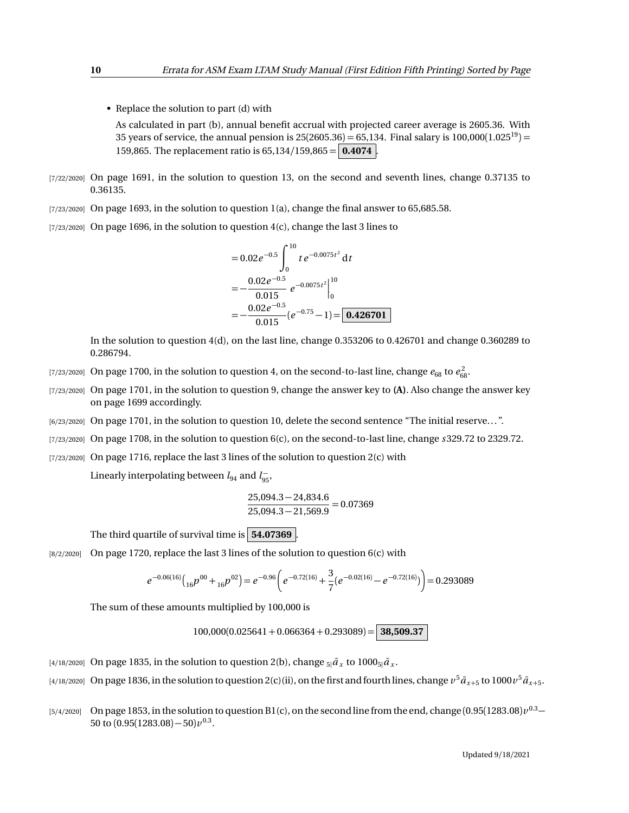• Replace the solution to part (d) with As calculated in part (b), annual benefit accrual with projected career average is 2605.36. With 35 years of service, the annual pension is  $25(2605.36) = 65,134$ . Final salary is  $100,000(1.025^{19}) =$ 159,865. The replacement ratio is 65,134*/*159,865 = **0.4074** .

- [7/22/2020] On page 1691, in the solution to question 13, on the second and seventh lines, change 0.37135 to 0.36135.
- [7/23/2020] On page 1693, in the solution to question 1(a), change the final answer to 65,685.58.
- $[7/23/2020]$  On page 1696, in the solution to question  $4(c)$ , change the last 3 lines to

$$
= 0.02e^{-0.5} \int_{0}^{10} t e^{-0.0075t^2} dt
$$
  
=  $-\frac{0.02e^{-0.5}}{0.015} e^{-0.0075t^2} \Big|_{0}^{10}$   
=  $-\frac{0.02e^{-0.5}}{0.015} (e^{-0.75} - 1) = \boxed{0.426701}$ 

In the solution to question 4(d), on the last line, change 0.353206 to 0.426701 and change 0.360289 to 0.286794.

- [7/23/2020] On page 1700, in the solution to question 4, on the second-to-last line, change  $e_{68}$  to  $e_{68}^2$ .
- [7/23/2020] On page 1701, in the solution to question 9, change the answer key to **(A)**. Also change the answer key on page 1699 accordingly.
- [6/23/2020] On page 1701, in the solution to question 10, delete the second sentence "The initial reserve. . . ".
- [7/23/2020] On page 1708, in the solution to question 6(c), on the second-to-last line, change *s* 329.72 to 2329.72.
- [7/23/2020] On page 1716, replace the last 3 lines of the solution to question 2(c) with

Linearly interpolating between  $l_{94}$  and  $l_{95}^-$ ,

$$
\frac{25,094.3 - 24,834.6}{25,094.3 - 21,569.9} = 0.07369
$$

The third quartile of survival time is **54.07369** .

[8/2/2020] On page 1720, replace the last 3 lines of the solution to question 6(c) with

$$
e^{-0.06(16)}\left({_{16}}p^{00}+{}_{16}p^{02}\right)=e^{-0.96}\left(e^{-0.72(16)}+{}\frac{3}{7}(e^{-0.02(16)}-e^{-0.72(16)})\right)=0.293089
$$

The sum of these amounts multiplied by 100,000 is

 $100,000(0.025641 + 0.066364 + 0.293089) =$  **38,509.37** 

- $_{[4/18/2020]}$  On page 1835, in the solution to question 2(b), change  $_{5|}\bar{a}_{x}$  to 1000 $_{5|}\bar{a}_{x}.$
- $_{[4/18/2020]}$  On page 1836, in the solution to question 2(c)(ii), on the first and fourth lines, change  $v^5\bar a_{x+5}$  to 1000  $v^5\bar a_{x+5}$ .
- $_{[5/4/2020]}$  On page 1853, in the solution to question B1(c), on the second line from the end, change  $(0.95(1283.08)\nu^{0.3}-1)$ 50 to  $(0.95(1283.08)-50)\nu^{0.3}$ .